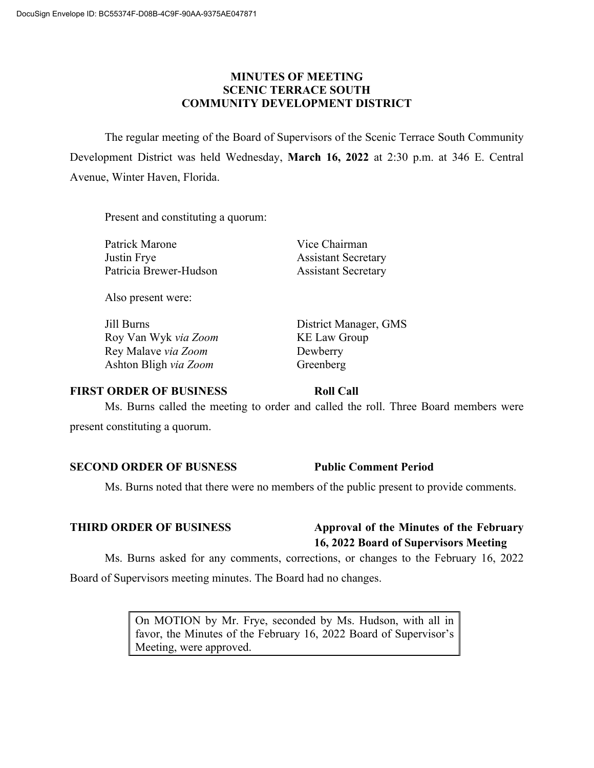## **MINUTES OF MEETING SCENIC TERRACE SOUTH COMMUNITY DEVELOPMENT DISTRICT**

The regular meeting of the Board of Supervisors of the Scenic Terrace South Community Development District was held Wednesday, **March 16, 2022** at 2:30 p.m. at 346 E. Central Avenue, Winter Haven, Florida.

Present and constituting a quorum:

Patrick Marone Vice Chairman Justin Frye Assistant Secretary Patricia Brewer-Hudson Assistant Secretary

Also present were:

Jill Burns District Manager, GMS Roy Van Wyk *via Zoom* KE Law Group Rey Malave *via Zoom* Dewberry Ashton Bligh *via Zoom* Greenberg

### **FIRST ORDER OF BUSINESS Roll Call**

Ms. Burns called the meeting to order and called the roll. Three Board members were present constituting a quorum.

### **SECOND ORDER OF BUSNESS Public Comment Period**

Ms. Burns noted that there were no members of the public present to provide comments.

# **THIRD ORDER OF BUSINESS Approval of the Minutes of the February 16, 2022 Board of Supervisors Meeting**

Ms. Burns asked for any comments, corrections, or changes to the February 16, 2022 Board of Supervisors meeting minutes. The Board had no changes.

> On MOTION by Mr. Frye, seconded by Ms. Hudson, with all in favor, the Minutes of the February 16, 2022 Board of Supervisor's Meeting, were approved.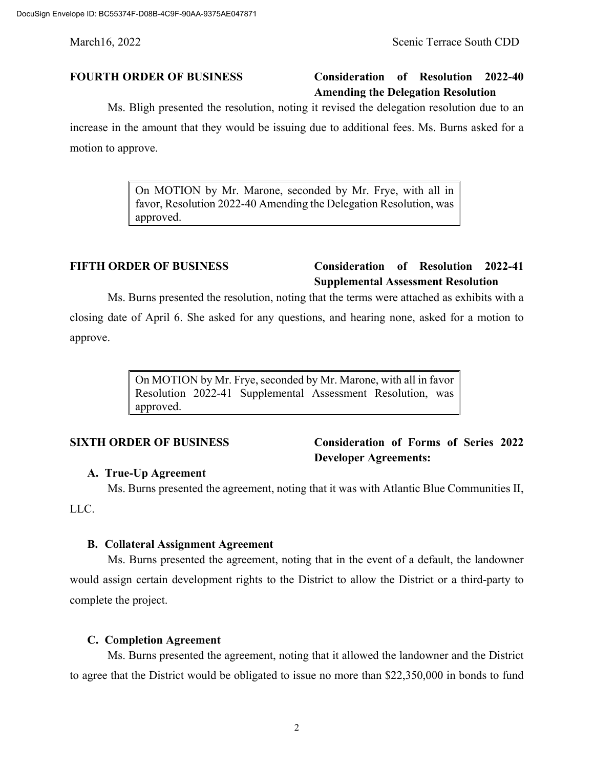# **FOURTH ORDER OF BUSINESS Consideration of Resolution 2022-40 Amending the Delegation Resolution**

Ms. Bligh presented the resolution, noting it revised the delegation resolution due to an increase in the amount that they would be issuing due to additional fees. Ms. Burns asked for a motion to approve.

> On MOTION by Mr. Marone, seconded by Mr. Frye, with all in favor, Resolution 2022-40 Amending the Delegation Resolution, was approved.

# **FIFTH ORDER OF BUSINESS Consideration of Resolution 2022-41 Supplemental Assessment Resolution**

Ms. Burns presented the resolution, noting that the terms were attached as exhibits with a closing date of April 6. She asked for any questions, and hearing none, asked for a motion to approve.

> On MOTION by Mr. Frye, seconded by Mr. Marone, with all in favor Resolution 2022-41 Supplemental Assessment Resolution, was approved.

# **SIXTH ORDER OF BUSINESS Consideration of Forms of Series 2022 Developer Agreements:**

### **A. True-Up Agreement**

Ms. Burns presented the agreement, noting that it was with Atlantic Blue Communities II,

LLC.

### **B. Collateral Assignment Agreement**

Ms. Burns presented the agreement, noting that in the event of a default, the landowner would assign certain development rights to the District to allow the District or a third-party to complete the project.

### **C. Completion Agreement**

Ms. Burns presented the agreement, noting that it allowed the landowner and the District to agree that the District would be obligated to issue no more than \$22,350,000 in bonds to fund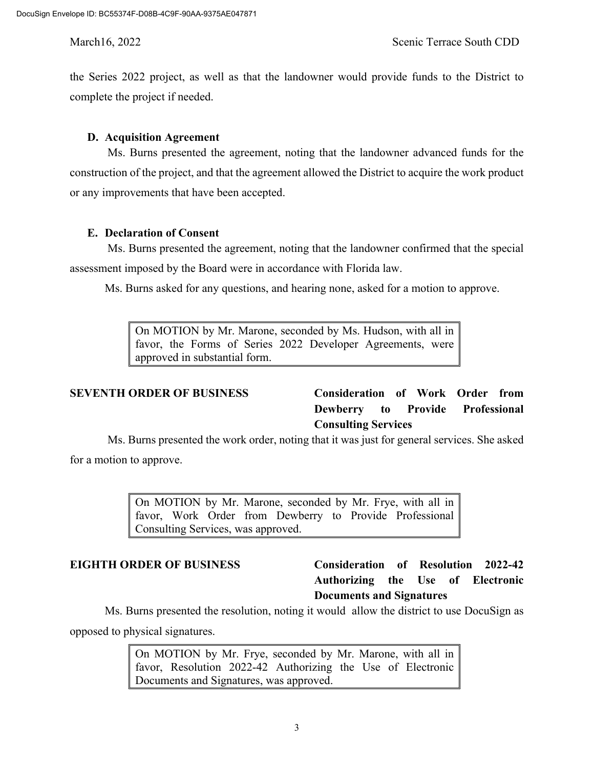the Series 2022 project, as well as that the landowner would provide funds to the District to complete the project if needed.

## **D. Acquisition Agreement**

Ms. Burns presented the agreement, noting that the landowner advanced funds for the construction of the project, and that the agreement allowed the District to acquire the work product or any improvements that have been accepted.

## **E. Declaration of Consent**

Ms. Burns presented the agreement, noting that the landowner confirmed that the special assessment imposed by the Board were in accordance with Florida law.

Ms. Burns asked for any questions, and hearing none, asked for a motion to approve.

On MOTION by Mr. Marone, seconded by Ms. Hudson, with all in favor, the Forms of Series 2022 Developer Agreements, were approved in substantial form.

**SEVENTH ORDER OF BUSINESS Consideration of Work Order from Dewberry to Provide Professional Consulting Services**

Ms. Burns presented the work order, noting that it was just for general services. She asked for a motion to approve.

> On MOTION by Mr. Marone, seconded by Mr. Frye, with all in favor, Work Order from Dewberry to Provide Professional Consulting Services, was approved.

# **EIGHTH ORDER OF BUSINESS Consideration of Resolution 2022-42 Authorizing the Use of Electronic Documents and Signatures**

Ms. Burns presented the resolution, noting it would allow the district to use DocuSign as opposed to physical signatures.

> On MOTION by Mr. Frye, seconded by Mr. Marone, with all in favor, Resolution 2022-42 Authorizing the Use of Electronic Documents and Signatures, was approved.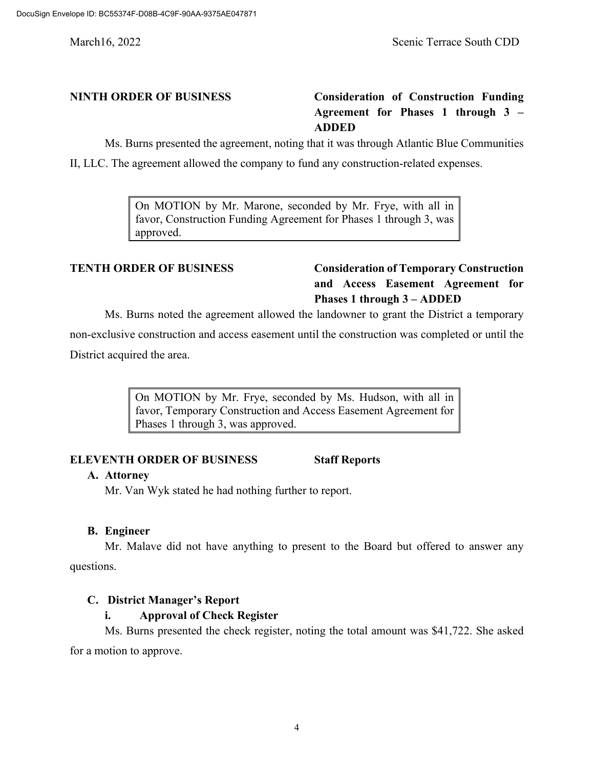# **NINTH ORDER OF BUSINESS Consideration of Construction Funding Agreement for Phases 1 through 3 – ADDED**

Ms. Burns presented the agreement, noting that it was through Atlantic Blue Communities

II, LLC. The agreement allowed the company to fund any construction-related expenses.

On MOTION by Mr. Marone, seconded by Mr. Frye, with all in favor, Construction Funding Agreement for Phases 1 through 3, was approved.

# **TENTH ORDER OF BUSINESS Consideration of Temporary Construction and Access Easement Agreement for Phases 1 through 3 – ADDED**

Ms. Burns noted the agreement allowed the landowner to grant the District a temporary

non-exclusive construction and access easement until the construction was completed or until the District acquired the area.

> On MOTION by Mr. Frye, seconded by Ms. Hudson, with all in favor, Temporary Construction and Access Easement Agreement for Phases 1 through 3, was approved.

# **ELEVENTH ORDER OF BUSINESS Staff Reports**

### **A. Attorney**

Mr. Van Wyk stated he had nothing further to report.

### **B. Engineer**

Mr. Malave did not have anything to present to the Board but offered to answer any questions.

# **C. District Manager's Report**

# **i. Approval of Check Register**

Ms. Burns presented the check register, noting the total amount was \$41,722. She asked for a motion to approve.